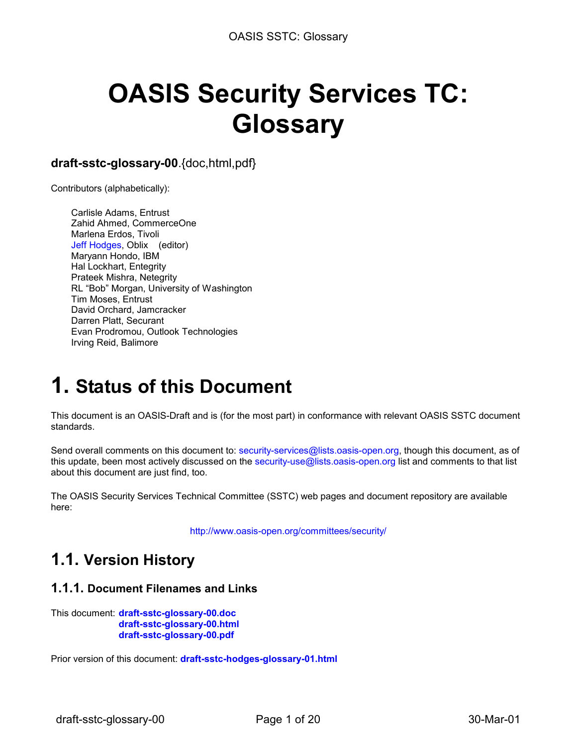# **OASIS Security Services TC: Glossary**

### **draft-sstc-glossary-00**.{doc,html,pdf}

Contributors (alphabetically):

Carlisle Adams, Entrust Zahid Ahmed, CommerceOne Marlena Erdos, Tivoli [Jeff Hodges,](mailto:jhodges@oblix.com) Oblix (editor) Maryann Hondo, IBM Hal Lockhart, Entegrity Prateek Mishra, Netegrity RL "Bob" Morgan, University of Washington Tim Moses, Entrust David Orchard, Jamcracker Darren Platt, Securant Evan Prodromou, Outlook Technologies Irving Reid, Balimore

### **1. Status of this Document**

This document is an OASIS-Draft and is (for the most part) in conformance with relevant OASIS SSTC document standards.

Send overall comments on this document to: [security-services@lists.oasis-open.org,](mailto:security-services@lists.oasis-open.org) though this document, as of this update, been most actively discussed on the [security-use@lists.oasis-open.org li](mailto:security-use@lists.oasis-open.org)st and comments to that list about this document are just find, too.

The OASIS Security Services Technical Committee (SSTC) web pages and document repository are available here:

<http://www.oasis-open.org/committees/security/>

### **1.1. Version History**

#### **1.1.1. Document Filenames and Links**

This document: **[draft-sstc-glossary-00.doc](http://www.oasis-open.org/committees/security/docs/draft-sstc-glossary-00.doc) [draft-sstc-glossary-00.html](http://www.oasis-open.org/committees/security/docs/draft-sstc-glossary-00.html) [draft-sstc-glossary-00.pdf](http://www.oasis-open.org/committees/security/docs/draft-sstc-glossary-00.pdf)**

Prior version of this document: **[draft-sstc-hodges-glossary-01.html](http://www.oasis-open.org/committees/security/docs/draft-sstc-hodges-glossary-01.html)**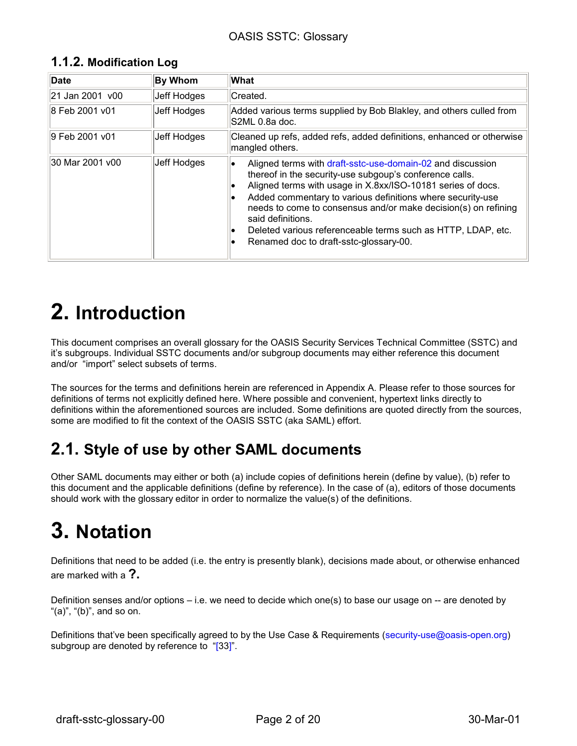| 1.1.2. Modification Log |             |                                                                                                                                                                                                                                                                                                                                                                                                           |
|-------------------------|-------------|-----------------------------------------------------------------------------------------------------------------------------------------------------------------------------------------------------------------------------------------------------------------------------------------------------------------------------------------------------------------------------------------------------------|
| Date                    | By Whom     | <b>What</b>                                                                                                                                                                                                                                                                                                                                                                                               |
| 21 Jan 2001 v00         | Jeff Hodges | Created.                                                                                                                                                                                                                                                                                                                                                                                                  |
| 8 Feb 2001 v01          | Jeff Hodges | Added various terms supplied by Bob Blakley, and others culled from<br>S2ML 0.8a doc.                                                                                                                                                                                                                                                                                                                     |
| 9 Feb 2001 v01          | Jeff Hodges | Cleaned up refs, added refs, added definitions, enhanced or otherwise<br>mangled others.                                                                                                                                                                                                                                                                                                                  |
| 30 Mar 2001 v00         | Jeff Hodges | Aligned terms with draft-sstc-use-domain-02 and discussion<br>thereof in the security-use subgoup's conference calls.<br>Aligned terms with usage in X.8xx/ISO-10181 series of docs.<br>Added commentary to various definitions where security-use<br>needs to come to consensus and/or make decision(s) on refining<br>said definitions.<br>Deleted various referenceable terms such as HTTP, LDAP, etc. |

### **1.1.2. Modification Log**

### **2. Introduction**

This document comprises an overall glossary for the OASIS Security Services Technical Committee (SSTC) and it's subgroups. Individual SSTC documents and/or subgroup documents may either reference this document and/or "import" select subsets of terms.

• Renamed doc to draft-sstc-glossary-00.

The sources for the terms and definitions herein are referenced in Appendix A. Please refer to those sources for definitions of terms not explicitly defined here. Where possible and convenient, hypertext links directly to definitions within the aforementioned sources are included. Some definitions are quoted directly from the sources, some are modified to fit the context of the OASIS SSTC (aka SAML) effort.

### **2.1. Style of use by other SAML documents**

Other SAML documents may either or both (a) include copies of definitions herein (define by value), (b) refer to this document and the applicable definitions (define by reference). In the case of (a), editors of those documents should work with the glossary editor in order to normalize the value(s) of the definitions.

# **3. Notation**

Definitions that need to be added (i.e. the entry is presently blank), decisions made about, or otherwise enhanced are marked with a **?.** 

Definition senses and/or options – i.e. we need to decide which one(s) to base our usage on -- are denoted by " $(a)$ ", " $(b)$ ", and so on.

Definitions that've been specifically agreed to by the Use Case & Requirements ([security-use@oasis-open.org\)](mailto:security-use@oasis-open.org)  subgroup are denoted by reference to "[\[33\]".](#page-3-0)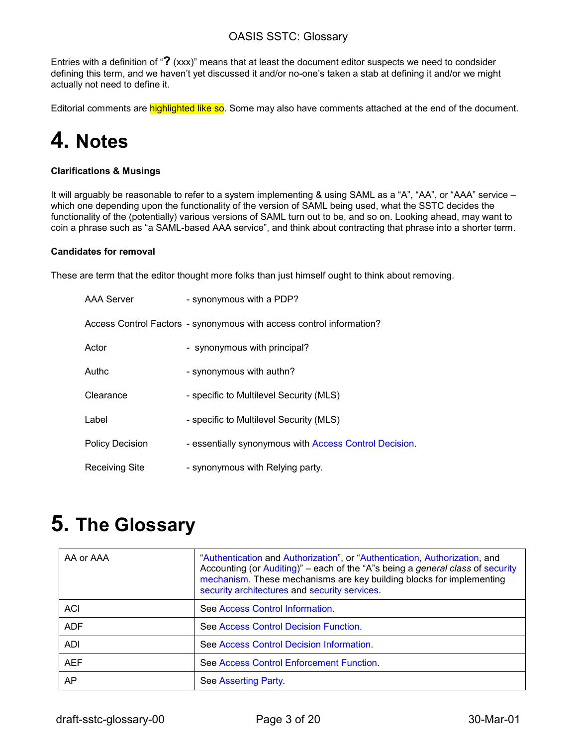<span id="page-2-0"></span>Entries with a definition of "**?** (xxx)" means that at least the document editor suspects we need to condsider defining this term, and we haven't yet discussed it and/or no-one's taken a stab at defining it and/or we might actually not need to define it.

Editorial comments are **highlighted like so**. Some may also have comments attached at the end of the document.

# **4. Notes**

#### **Clarifications & Musings**

It will arguably be reasonable to refer to a system implementing & using SAML as a "A", "AA", or "AAA" service which one depending upon the functionality of the version of SAML being used, what the SSTC decides the functionality of the (potentially) various versions of SAML turn out to be, and so on. Looking ahead, may want to coin a phrase such as "a SAML-based AAA service", and think about contracting that phrase into a shorter term.

#### **Candidates for removal**

These are term that the editor thought more folks than just himself ought to think about removing.

| AAA Server             | - synonymous with a PDP?                                             |
|------------------------|----------------------------------------------------------------------|
|                        | Access Control Factors - synonymous with access control information? |
| Actor                  | - synonymous with principal?                                         |
| Authc                  | - synonymous with authn?                                             |
| Clearance              | - specific to Multilevel Security (MLS)                              |
| Label                  | - specific to Multilevel Security (MLS)                              |
| <b>Policy Decision</b> | - essentially synonymous with Access Control Decision.               |
| Receiving Site         | - synonymous with Relying party.                                     |

### **5. The Glossary**

| AA or AAA  | "Authentication and Authorization", or "Authentication, Authorization, and<br>Accounting (or Auditing)" – each of the "A"s being a general class of security<br>mechanism. These mechanisms are key building blocks for implementing<br>security architectures and security services. |
|------------|---------------------------------------------------------------------------------------------------------------------------------------------------------------------------------------------------------------------------------------------------------------------------------------|
| <b>ACI</b> | See Access Control Information.                                                                                                                                                                                                                                                       |
| <b>ADF</b> | See Access Control Decision Function.                                                                                                                                                                                                                                                 |
| ADI        | See Access Control Decision Information.                                                                                                                                                                                                                                              |
| <b>AEF</b> | See Access Control Enforcement Function.                                                                                                                                                                                                                                              |
| AP.        | See Asserting Party.                                                                                                                                                                                                                                                                  |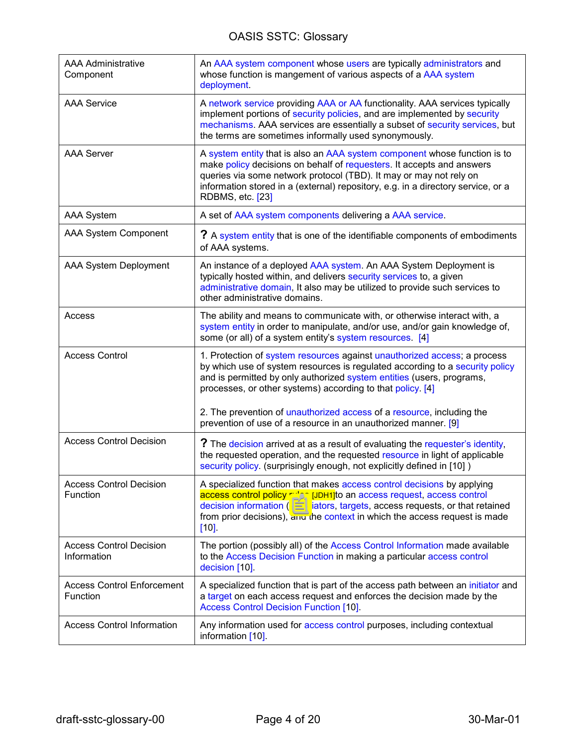<span id="page-3-0"></span>

| <b>AAA Administrative</b><br>Component        | An AAA system component whose users are typically administrators and<br>whose function is mangement of various aspects of a AAA system<br>deployment.                                                                                                                                                                            |
|-----------------------------------------------|----------------------------------------------------------------------------------------------------------------------------------------------------------------------------------------------------------------------------------------------------------------------------------------------------------------------------------|
| <b>AAA Service</b>                            | A network service providing AAA or AA functionality. AAA services typically<br>implement portions of security policies, and are implemented by security<br>mechanisms. AAA services are essentially a subset of security services, but<br>the terms are sometimes informally used synonymously.                                  |
| <b>AAA Server</b>                             | A system entity that is also an AAA system component whose function is to<br>make policy decisions on behalf of requesters. It accepts and answers<br>queries via some network protocol (TBD). It may or may not rely on<br>information stored in a (external) repository, e.g. in a directory service, or a<br>RDBMS, etc. [23] |
| <b>AAA System</b>                             | A set of AAA system components delivering a AAA service.                                                                                                                                                                                                                                                                         |
| AAA System Component                          | ? A system entity that is one of the identifiable components of embodiments<br>of AAA systems.                                                                                                                                                                                                                                   |
| AAA System Deployment                         | An instance of a deployed AAA system. An AAA System Deployment is<br>typically hosted within, and delivers security services to, a given<br>administrative domain, It also may be utilized to provide such services to<br>other administrative domains.                                                                          |
| Access                                        | The ability and means to communicate with, or otherwise interact with, a<br>system entity in order to manipulate, and/or use, and/or gain knowledge of,<br>some (or all) of a system entity's system resources. [4]                                                                                                              |
| <b>Access Control</b>                         | 1. Protection of system resources against unauthorized access; a process<br>by which use of system resources is regulated according to a security policy<br>and is permitted by only authorized system entities (users, programs,<br>processes, or other systems) according to that policy. [4]                                  |
|                                               | 2. The prevention of unauthorized access of a resource, including the<br>prevention of use of a resource in an unauthorized manner. [9]                                                                                                                                                                                          |
| <b>Access Control Decision</b>                | ? The decision arrived at as a result of evaluating the requester's identity,<br>the requested operation, and the requested resource in light of applicable<br>security policy. (surprisingly enough, not explicitly defined in [10])                                                                                            |
| <b>Access Control Decision</b><br>Function    | A specialized function that makes access control decisions by applying<br>access control policy rules [JDH1] to an access request, access control<br>decision information (of initiators, targets, access requests, or that retained<br>from prior decisions), and the context in which the access request is made<br>$[10]$     |
| <b>Access Control Decision</b><br>Information | The portion (possibly all) of the Access Control Information made available<br>to the Access Decision Function in making a particular access control<br>decision [10].                                                                                                                                                           |
| <b>Access Control Enforcement</b><br>Function | A specialized function that is part of the access path between an initiator and<br>a target on each access request and enforces the decision made by the<br><b>Access Control Decision Function [10].</b>                                                                                                                        |
| <b>Access Control Information</b>             | Any information used for access control purposes, including contextual<br>information [10].                                                                                                                                                                                                                                      |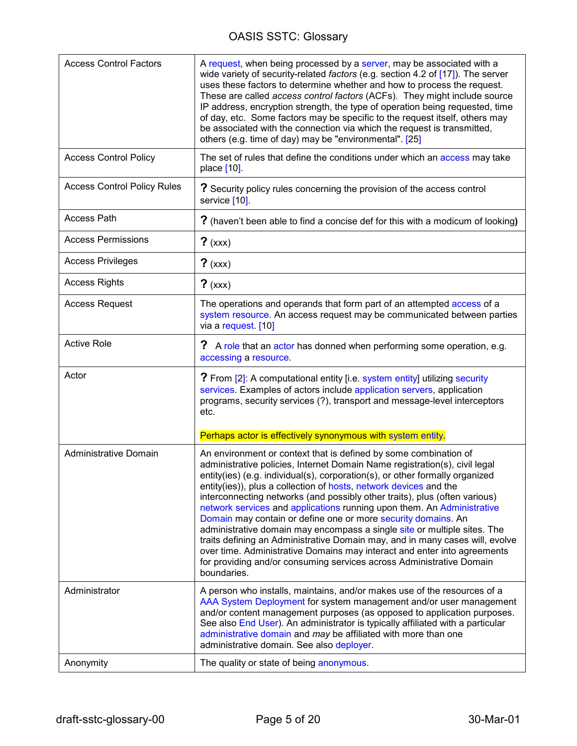<span id="page-4-0"></span>

| <b>Access Control Factors</b>      | A request, when being processed by a server, may be associated with a<br>wide variety of security-related factors (e.g. section 4.2 of [17]). The server<br>uses these factors to determine whether and how to process the request.<br>These are called access control factors (ACFs). They might include source<br>IP address, encryption strength, the type of operation being requested, time<br>of day, etc. Some factors may be specific to the request itself, others may<br>be associated with the connection via which the request is transmitted,<br>others (e.g. time of day) may be "environmental". [25]                                                                                                                                                                                                                                        |
|------------------------------------|-------------------------------------------------------------------------------------------------------------------------------------------------------------------------------------------------------------------------------------------------------------------------------------------------------------------------------------------------------------------------------------------------------------------------------------------------------------------------------------------------------------------------------------------------------------------------------------------------------------------------------------------------------------------------------------------------------------------------------------------------------------------------------------------------------------------------------------------------------------|
| <b>Access Control Policy</b>       | The set of rules that define the conditions under which an access may take<br>place [10].                                                                                                                                                                                                                                                                                                                                                                                                                                                                                                                                                                                                                                                                                                                                                                   |
| <b>Access Control Policy Rules</b> | ? Security policy rules concerning the provision of the access control<br>service [10].                                                                                                                                                                                                                                                                                                                                                                                                                                                                                                                                                                                                                                                                                                                                                                     |
| <b>Access Path</b>                 | ? (haven't been able to find a concise def for this with a modicum of looking)                                                                                                                                                                                                                                                                                                                                                                                                                                                                                                                                                                                                                                                                                                                                                                              |
| <b>Access Permissions</b>          | $?$ (xxx)                                                                                                                                                                                                                                                                                                                                                                                                                                                                                                                                                                                                                                                                                                                                                                                                                                                   |
| <b>Access Privileges</b>           | $?$ (xxx)                                                                                                                                                                                                                                                                                                                                                                                                                                                                                                                                                                                                                                                                                                                                                                                                                                                   |
| <b>Access Rights</b>               | $?$ (xxx)                                                                                                                                                                                                                                                                                                                                                                                                                                                                                                                                                                                                                                                                                                                                                                                                                                                   |
| <b>Access Request</b>              | The operations and operands that form part of an attempted access of a<br>system resource. An access request may be communicated between parties<br>via a request. [10]                                                                                                                                                                                                                                                                                                                                                                                                                                                                                                                                                                                                                                                                                     |
| <b>Active Role</b>                 | ?<br>A role that an actor has donned when performing some operation, e.g.<br>accessing a resource.                                                                                                                                                                                                                                                                                                                                                                                                                                                                                                                                                                                                                                                                                                                                                          |
| Actor                              | ? From [2]: A computational entity [i.e. system entity] utilizing security<br>services. Examples of actors include application servers, application<br>programs, security services (?), transport and message-level interceptors<br>etc.                                                                                                                                                                                                                                                                                                                                                                                                                                                                                                                                                                                                                    |
|                                    | Perhaps actor is effectively synonymous with system entity.                                                                                                                                                                                                                                                                                                                                                                                                                                                                                                                                                                                                                                                                                                                                                                                                 |
| Administrative Domain              | An environment or context that is defined by some combination of<br>administrative policies, Internet Domain Name registration(s), civil legal<br>entity(ies) (e.g. individual(s), corporation(s), or other formally organized<br>entity(ies)), plus a collection of hosts, network devices and the<br>interconnecting networks (and possibly other traits), plus (often various)<br>network services and applications running upon them. An Administrative<br>Domain may contain or define one or more security domains. An<br>administrative domain may encompass a single site or multiple sites. The<br>traits defining an Administrative Domain may, and in many cases will, evolve<br>over time. Administrative Domains may interact and enter into agreements<br>for providing and/or consuming services across Administrative Domain<br>boundaries. |
| Administrator                      | A person who installs, maintains, and/or makes use of the resources of a<br>AAA System Deployment for system management and/or user management<br>and/or content management purposes (as opposed to application purposes.<br>See also End User). An administrator is typically affiliated with a particular<br>administrative domain and may be affiliated with more than one<br>administrative domain. See also deployer.                                                                                                                                                                                                                                                                                                                                                                                                                                  |
| Anonymity                          | The quality or state of being anonymous.                                                                                                                                                                                                                                                                                                                                                                                                                                                                                                                                                                                                                                                                                                                                                                                                                    |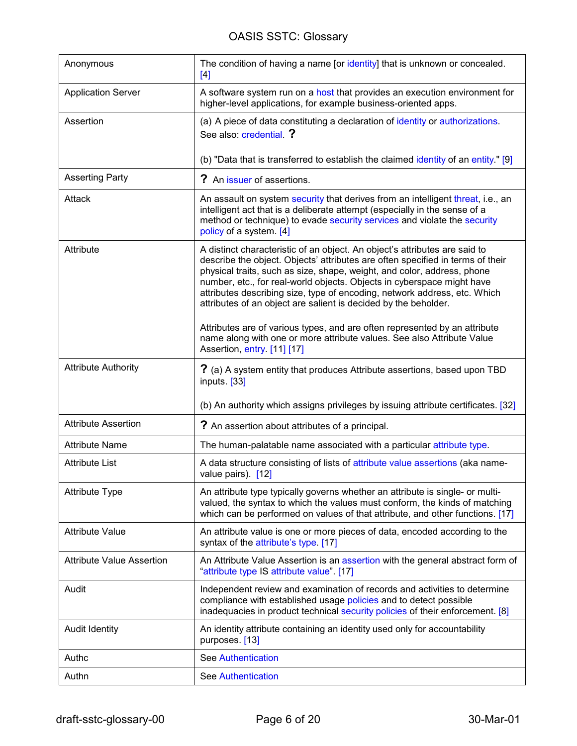<span id="page-5-0"></span>

| Anonymous                        | The condition of having a name [or identity] that is unknown or concealed.<br>[4]                                                                                                                                                                                                                                                                                                                                                                                 |
|----------------------------------|-------------------------------------------------------------------------------------------------------------------------------------------------------------------------------------------------------------------------------------------------------------------------------------------------------------------------------------------------------------------------------------------------------------------------------------------------------------------|
| <b>Application Server</b>        | A software system run on a host that provides an execution environment for<br>higher-level applications, for example business-oriented apps.                                                                                                                                                                                                                                                                                                                      |
| Assertion                        | (a) A piece of data constituting a declaration of identity or authorizations.<br>See also: credential. ?                                                                                                                                                                                                                                                                                                                                                          |
|                                  | (b) "Data that is transferred to establish the claimed identity of an entity." [9]                                                                                                                                                                                                                                                                                                                                                                                |
| <b>Asserting Party</b>           | ? An issuer of assertions.                                                                                                                                                                                                                                                                                                                                                                                                                                        |
| Attack                           | An assault on system security that derives from an intelligent threat, i.e., an<br>intelligent act that is a deliberate attempt (especially in the sense of a<br>method or technique) to evade security services and violate the security<br>policy of a system. [4]                                                                                                                                                                                              |
| Attribute                        | A distinct characteristic of an object. An object's attributes are said to<br>describe the object. Objects' attributes are often specified in terms of their<br>physical traits, such as size, shape, weight, and color, address, phone<br>number, etc., for real-world objects. Objects in cyberspace might have<br>attributes describing size, type of encoding, network address, etc. Which<br>attributes of an object are salient is decided by the beholder. |
|                                  | Attributes are of various types, and are often represented by an attribute<br>name along with one or more attribute values. See also Attribute Value<br>Assertion, entry. [11] [17]                                                                                                                                                                                                                                                                               |
| <b>Attribute Authority</b>       | ? (a) A system entity that produces Attribute assertions, based upon TBD<br>inputs. [33]                                                                                                                                                                                                                                                                                                                                                                          |
|                                  | (b) An authority which assigns privileges by issuing attribute certificates. [32]                                                                                                                                                                                                                                                                                                                                                                                 |
| <b>Attribute Assertion</b>       | ? An assertion about attributes of a principal.                                                                                                                                                                                                                                                                                                                                                                                                                   |
| <b>Attribute Name</b>            | The human-palatable name associated with a particular attribute type.                                                                                                                                                                                                                                                                                                                                                                                             |
| <b>Attribute List</b>            | A data structure consisting of lists of attribute value assertions (aka name-<br>value pairs). [12]                                                                                                                                                                                                                                                                                                                                                               |
| <b>Attribute Type</b>            | An attribute type typically governs whether an attribute is single- or multi-<br>valued, the syntax to which the values must conform, the kinds of matching<br>which can be performed on values of that attribute, and other functions. [17]                                                                                                                                                                                                                      |
| <b>Attribute Value</b>           | An attribute value is one or more pieces of data, encoded according to the<br>syntax of the attribute's type. [17]                                                                                                                                                                                                                                                                                                                                                |
| <b>Attribute Value Assertion</b> | An Attribute Value Assertion is an assertion with the general abstract form of<br>"attribute type IS attribute value". [17]                                                                                                                                                                                                                                                                                                                                       |
| Audit                            | Independent review and examination of records and activities to determine<br>compliance with established usage policies and to detect possible<br>inadequacies in product technical security policies of their enforcement. [8]                                                                                                                                                                                                                                   |
| <b>Audit Identity</b>            | An identity attribute containing an identity used only for accountability<br>purposes. [13]                                                                                                                                                                                                                                                                                                                                                                       |
| Authc                            | <b>See Authentication</b>                                                                                                                                                                                                                                                                                                                                                                                                                                         |
| Authn                            | <b>See Authentication</b>                                                                                                                                                                                                                                                                                                                                                                                                                                         |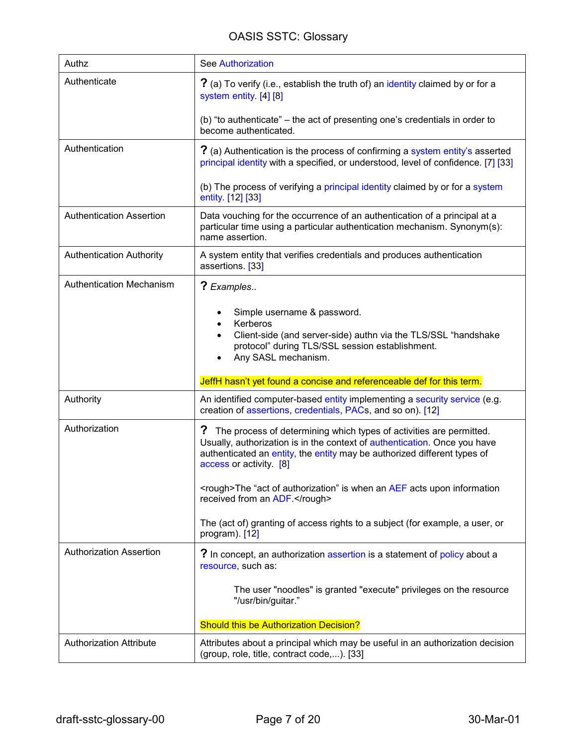<span id="page-6-0"></span>

| Authz                           | <b>See Authorization</b>                                                                                                                                                                                                                                     |
|---------------------------------|--------------------------------------------------------------------------------------------------------------------------------------------------------------------------------------------------------------------------------------------------------------|
| Authenticate                    | ? (a) To verify (i.e., establish the truth of) an identity claimed by or for a<br>system entity. [4] [8]                                                                                                                                                     |
|                                 | (b) "to authenticate" – the act of presenting one's credentials in order to<br>become authenticated.                                                                                                                                                         |
| Authentication                  | ? (a) Authentication is the process of confirming a system entity's asserted<br>principal identity with a specified, or understood, level of confidence. [7] [33]                                                                                            |
|                                 | (b) The process of verifying a principal identity claimed by or for a system<br>entity. [12] [33]                                                                                                                                                            |
| <b>Authentication Assertion</b> | Data vouching for the occurrence of an authentication of a principal at a<br>particular time using a particular authentication mechanism. Synonym(s):<br>name assertion.                                                                                     |
| <b>Authentication Authority</b> | A system entity that verifies credentials and produces authentication<br>assertions. [33]                                                                                                                                                                    |
| <b>Authentication Mechanism</b> | ? Examples                                                                                                                                                                                                                                                   |
|                                 | Simple username & password.<br>Kerberos<br>Client-side (and server-side) authn via the TLS/SSL "handshake<br>protocol" during TLS/SSL session establishment.<br>Any SASL mechanism.                                                                          |
|                                 | JeffH hasn't yet found a concise and referenceable def for this term.                                                                                                                                                                                        |
| Authority                       | An identified computer-based entity implementing a security service (e.g.<br>creation of assertions, credentials, PACs, and so on). [12]                                                                                                                     |
| Authorization                   | ?<br>The process of determining which types of activities are permitted.<br>Usually, authorization is in the context of authentication. Once you have<br>authenticated an entity, the entity may be authorized different types of<br>access or activity. [8] |
|                                 | <rough>The "act of authorization" is when an AEF acts upon information<br/>received from an ADF.</rough>                                                                                                                                                     |
|                                 | The (act of) granting of access rights to a subject (for example, a user, or<br>program). $[12]$                                                                                                                                                             |
| <b>Authorization Assertion</b>  | ? In concept, an authorization assertion is a statement of policy about a<br>resource, such as:                                                                                                                                                              |
|                                 | The user "noodles" is granted "execute" privileges on the resource<br>"/usr/bin/guitar."                                                                                                                                                                     |
|                                 | <b>Should this be Authorization Decision?</b>                                                                                                                                                                                                                |
| <b>Authorization Attribute</b>  | Attributes about a principal which may be useful in an authorization decision<br>(group, role, title, contract code,). [33]                                                                                                                                  |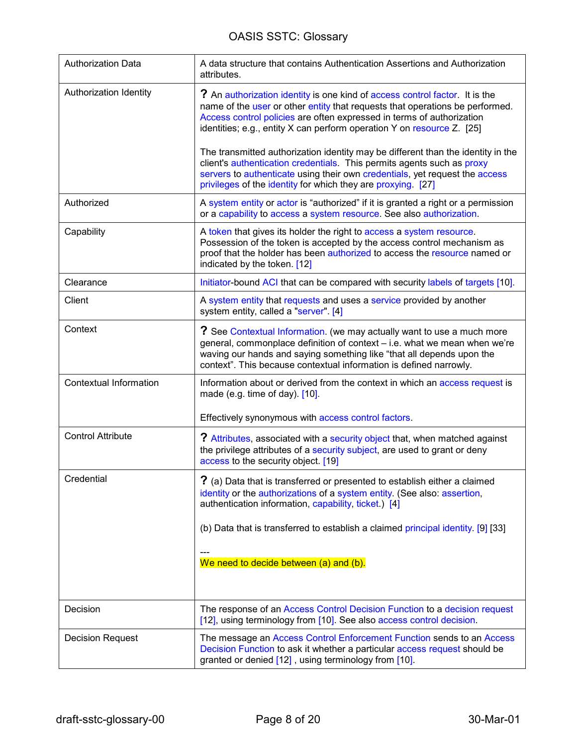<span id="page-7-0"></span>

| <b>Authorization Data</b> | A data structure that contains Authentication Assertions and Authorization<br>attributes.                                                                                                                                                                                                                             |
|---------------------------|-----------------------------------------------------------------------------------------------------------------------------------------------------------------------------------------------------------------------------------------------------------------------------------------------------------------------|
| Authorization Identity    | ? An authorization identity is one kind of access control factor. It is the<br>name of the user or other entity that requests that operations be performed.<br>Access control policies are often expressed in terms of authorization<br>identities; e.g., entity $X$ can perform operation $Y$ on resource $Z$ . [25] |
|                           | The transmitted authorization identity may be different than the identity in the<br>client's authentication credentials. This permits agents such as proxy<br>servers to authenticate using their own credentials, yet request the access<br>privileges of the identity for which they are proxying. [27]             |
| Authorized                | A system entity or actor is "authorized" if it is granted a right or a permission<br>or a capability to access a system resource. See also authorization.                                                                                                                                                             |
| Capability                | A token that gives its holder the right to access a system resource.<br>Possession of the token is accepted by the access control mechanism as<br>proof that the holder has been authorized to access the resource named or<br>indicated by the token. [12]                                                           |
| Clearance                 | Initiator bound ACI that can be compared with security labels of targets [10].                                                                                                                                                                                                                                        |
| Client                    | A system entity that requests and uses a service provided by another<br>system entity, called a "server". [4]                                                                                                                                                                                                         |
| Context                   | ? See Contextual Information. (we may actually want to use a much more<br>general, commonplace definition of context - i.e. what we mean when we're<br>waving our hands and saying something like "that all depends upon the<br>context". This because contextual information is defined narrowly.                    |
| Contextual Information    | Information about or derived from the context in which an access request is<br>made (e.g. time of day). [10].                                                                                                                                                                                                         |
|                           | Effectively synonymous with access control factors.                                                                                                                                                                                                                                                                   |
| <b>Control Attribute</b>  | ? Attributes, associated with a security object that, when matched against<br>the privilege attributes of a security subject, are used to grant or deny<br>access to the security object. [19]                                                                                                                        |
| Credential                | ? (a) Data that is transferred or presented to establish either a claimed<br>identity or the authorizations of a system entity. (See also: assertion,<br>authentication information, capability, ticket.) [4]                                                                                                         |
|                           | (b) Data that is transferred to establish a claimed principal identity. [9] [33]                                                                                                                                                                                                                                      |
|                           | We need to decide between (a) and (b).                                                                                                                                                                                                                                                                                |
| Decision                  | The response of an Access Control Decision Function to a decision request<br>[12], using terminology from [10]. See also access control decision.                                                                                                                                                                     |
| <b>Decision Request</b>   | The message an Access Control Enforcement Function sends to an Access<br>Decision Function to ask it whether a particular access request should be<br>granted or denied [12], using terminology from [10].                                                                                                            |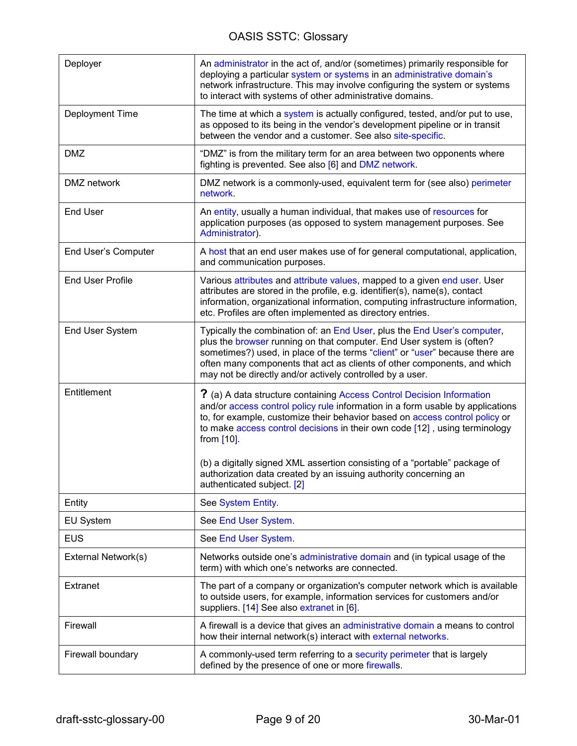<span id="page-8-0"></span>

| Deployer                | An administrator in the act of, and/or (sometimes) primarily responsible for<br>deploying a particular system or systems in an administrative domain's<br>network infrastructure. This may involve configuring the system or systems<br>to interact with systems of other administrative domains.                                                                                                                |
|-------------------------|------------------------------------------------------------------------------------------------------------------------------------------------------------------------------------------------------------------------------------------------------------------------------------------------------------------------------------------------------------------------------------------------------------------|
| Deployment Time         | The time at which a system is actually configured, tested, and/or put to use,<br>as opposed to its being in the vendor's development pipeline or in transit<br>between the vendor and a customer. See also site-specific.                                                                                                                                                                                        |
| <b>DMZ</b>              | "DMZ" is from the military term for an area between two opponents where<br>fighting is prevented. See also [6] and DMZ network.                                                                                                                                                                                                                                                                                  |
| DMZ network             | DMZ network is a commonly-used, equivalent term for (see also) perimeter<br>network.                                                                                                                                                                                                                                                                                                                             |
| <b>End User</b>         | An entity, usually a human individual, that makes use of resources for<br>application purposes (as opposed to system management purposes. See<br>Administrator).                                                                                                                                                                                                                                                 |
| End User's Computer     | A host that an end user makes use of for general computational, application,<br>and communication purposes.                                                                                                                                                                                                                                                                                                      |
| <b>End User Profile</b> | Various attributes and attribute values, mapped to a given end user. User<br>attributes are stored in the profile, e.g. identifier(s), name(s), contact<br>information, organizational information, computing infrastructure information,<br>etc. Profiles are often implemented as directory entries.                                                                                                           |
| End User System         | Typically the combination of: an End User, plus the End User's computer,<br>plus the browser running on that computer. End User system is (often?<br>sometimes?) used, in place of the terms "client" or "user" because there are<br>often many components that act as clients of other components, and which<br>may not be directly and/or actively controlled by a user.                                       |
| Entitlement             | ? (a) A data structure containing Access Control Decision Information<br>and/or access control policy rule information in a form usable by applications<br>to, for example, customize their behavior based on access control policy or<br>to make access control decisions in their own code [12], using terminology<br>from [10].<br>(b) a digitally signed XML assertion consisting of a "portable" package of |
|                         | authorization data created by an issuing authority concerning an<br>authenticated subject. [2]                                                                                                                                                                                                                                                                                                                   |
| Entity                  | See System Entity.                                                                                                                                                                                                                                                                                                                                                                                               |
| <b>EU System</b>        | See End User System.                                                                                                                                                                                                                                                                                                                                                                                             |
| <b>EUS</b>              | See End User System.                                                                                                                                                                                                                                                                                                                                                                                             |
| External Network(s)     | Networks outside one's administrative domain and (in typical usage of the<br>term) with which one's networks are connected.                                                                                                                                                                                                                                                                                      |
| Extranet                | The part of a company or organization's computer network which is available<br>to outside users, for example, information services for customers and/or<br>suppliers. [14] See also extranet in [6].                                                                                                                                                                                                             |
| Firewall                | A firewall is a device that gives an administrative domain a means to control<br>how their internal network(s) interact with external networks.                                                                                                                                                                                                                                                                  |
| Firewall boundary       | A commonly-used term referring to a security perimeter that is largely<br>defined by the presence of one or more firewalls.                                                                                                                                                                                                                                                                                      |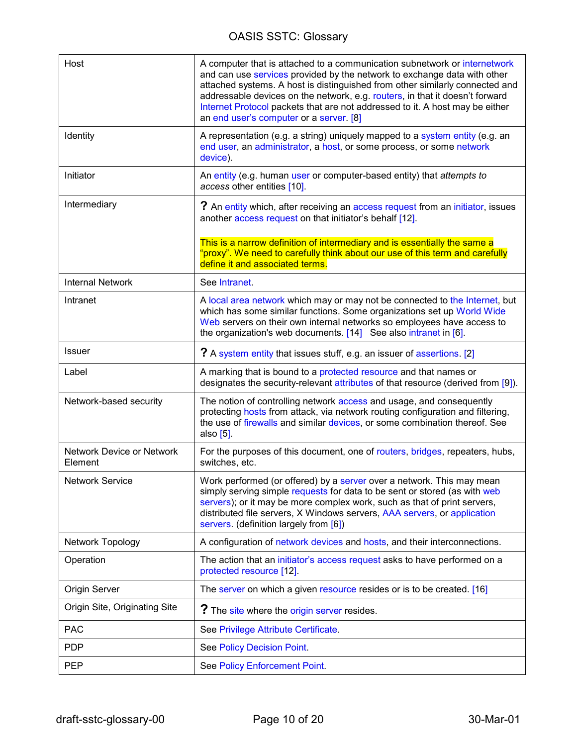<span id="page-9-0"></span>

| Host                                 | A computer that is attached to a communication subnetwork or internetwork<br>and can use services provided by the network to exchange data with other<br>attached systems. A host is distinguished from other similarly connected and<br>addressable devices on the network, e.g. routers, in that it doesn't forward<br>Internet Protocol packets that are not addressed to it. A host may be either<br>an end user's computer or a server. [8] |
|--------------------------------------|--------------------------------------------------------------------------------------------------------------------------------------------------------------------------------------------------------------------------------------------------------------------------------------------------------------------------------------------------------------------------------------------------------------------------------------------------|
| Identity                             | A representation (e.g. a string) uniquely mapped to a system entity (e.g. an<br>end user, an administrator, a host, or some process, or some network<br>device).                                                                                                                                                                                                                                                                                 |
| Initiator                            | An entity (e.g. human user or computer-based entity) that attempts to<br>access other entities [10].                                                                                                                                                                                                                                                                                                                                             |
| Intermediary                         | ? An entity which, after receiving an access request from an initiator, issues<br>another access request on that initiator's behalf [12].                                                                                                                                                                                                                                                                                                        |
|                                      | This is a narrow definition of intermediary and is essentially the same a<br>'proxy". We need to carefully think about our use of this term and carefully<br>define it and associated terms.                                                                                                                                                                                                                                                     |
| <b>Internal Network</b>              | See Intranet.                                                                                                                                                                                                                                                                                                                                                                                                                                    |
| Intranet                             | A local area network which may or may not be connected to the Internet, but<br>which has some similar functions. Some organizations set up World Wide<br>Web servers on their own internal networks so employees have access to<br>the organization's web documents. [14] See also intranet in [6].                                                                                                                                              |
| <b>Issuer</b>                        | ? A system entity that issues stuff, e.g. an issuer of assertions. [2]                                                                                                                                                                                                                                                                                                                                                                           |
| Label                                | A marking that is bound to a protected resource and that names or<br>designates the security-relevant attributes of that resource (derived from [9]).                                                                                                                                                                                                                                                                                            |
| Network-based security               | The notion of controlling network access and usage, and consequently<br>protecting hosts from attack, via network routing configuration and filtering,<br>the use of firewalls and similar devices, or some combination thereof. See<br>also $[5]$ .                                                                                                                                                                                             |
| Network Device or Network<br>Element | For the purposes of this document, one of routers, bridges, repeaters, hubs,<br>switches, etc.                                                                                                                                                                                                                                                                                                                                                   |
| <b>Network Service</b>               | Work performed (or offered) by a server over a network. This may mean<br>simply serving simple requests for data to be sent or stored (as with web<br>servers); or it may be more complex work, such as that of print servers,<br>distributed file servers, X Windows servers, AAA servers, or application<br>servers. (definition largely from [6])                                                                                             |
| Network Topology                     | A configuration of network devices and hosts, and their interconnections.                                                                                                                                                                                                                                                                                                                                                                        |
| Operation                            | The action that an initiator's access request asks to have performed on a<br>protected resource [12].                                                                                                                                                                                                                                                                                                                                            |
| Origin Server                        | The server on which a given resource resides or is to be created. [16]                                                                                                                                                                                                                                                                                                                                                                           |
| Origin Site, Originating Site        | ? The site where the origin server resides.                                                                                                                                                                                                                                                                                                                                                                                                      |
| <b>PAC</b>                           | See Privilege Attribute Certificate.                                                                                                                                                                                                                                                                                                                                                                                                             |
| <b>PDP</b>                           | See Policy Decision Point.                                                                                                                                                                                                                                                                                                                                                                                                                       |
| <b>PEP</b>                           | See Policy Enforcement Point.                                                                                                                                                                                                                                                                                                                                                                                                                    |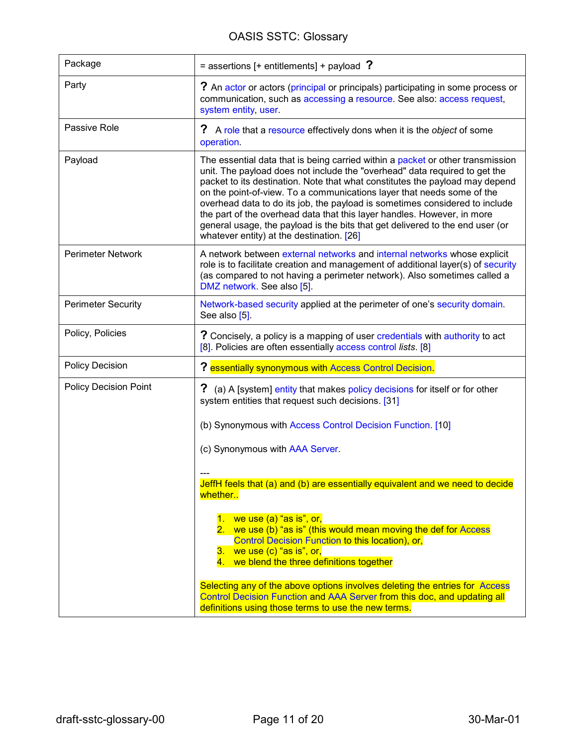<span id="page-10-0"></span>

| Package                      | $=$ assertions [+ entitlements] + payload ?                                                                                                                                                                                                                                                                                                                                                                                                                                                                                                                                                                    |
|------------------------------|----------------------------------------------------------------------------------------------------------------------------------------------------------------------------------------------------------------------------------------------------------------------------------------------------------------------------------------------------------------------------------------------------------------------------------------------------------------------------------------------------------------------------------------------------------------------------------------------------------------|
| Party                        | ? An actor or actors (principal or principals) participating in some process or<br>communication, such as accessing a resource. See also: access request,<br>system entity, user.                                                                                                                                                                                                                                                                                                                                                                                                                              |
| Passive Role                 | ? A role that a resource effectively dons when it is the object of some<br>operation.                                                                                                                                                                                                                                                                                                                                                                                                                                                                                                                          |
| Payload                      | The essential data that is being carried within a packet or other transmission<br>unit. The payload does not include the "overhead" data required to get the<br>packet to its destination. Note that what constitutes the payload may depend<br>on the point-of-view. To a communications layer that needs some of the<br>overhead data to do its job, the payload is sometimes considered to include<br>the part of the overhead data that this layer handles. However, in more<br>general usage, the payload is the bits that get delivered to the end user (or<br>whatever entity) at the destination. [26] |
| <b>Perimeter Network</b>     | A network between external networks and internal networks whose explicit<br>role is to facilitate creation and management of additional layer(s) of security<br>(as compared to not having a perimeter network). Also sometimes called a<br>DMZ network. See also [5].                                                                                                                                                                                                                                                                                                                                         |
| <b>Perimeter Security</b>    | Network-based security applied at the perimeter of one's security domain.<br>See also [5].                                                                                                                                                                                                                                                                                                                                                                                                                                                                                                                     |
| Policy, Policies             | ? Concisely, a policy is a mapping of user credentials with authority to act<br>[8]. Policies are often essentially access control lists. [8]                                                                                                                                                                                                                                                                                                                                                                                                                                                                  |
| <b>Policy Decision</b>       | ? essentially synonymous with Access Control Decision.                                                                                                                                                                                                                                                                                                                                                                                                                                                                                                                                                         |
| <b>Policy Decision Point</b> | ? (a) A [system] entity that makes policy decisions for itself or for other<br>system entities that request such decisions. [31]                                                                                                                                                                                                                                                                                                                                                                                                                                                                               |
|                              | (b) Synonymous with Access Control Decision Function. [10]                                                                                                                                                                                                                                                                                                                                                                                                                                                                                                                                                     |
|                              | (c) Synonymous with AAA Server.                                                                                                                                                                                                                                                                                                                                                                                                                                                                                                                                                                                |
|                              | JeffH feels that (a) and (b) are essentially equivalent and we need to decide<br>whether                                                                                                                                                                                                                                                                                                                                                                                                                                                                                                                       |
|                              | 1. we use $(a)$ "as is", or,<br>2. we use (b) "as is" (this would mean moving the def for Access<br>Control Decision Function to this location), or,<br>3. we use $(c)$ "as is", or,<br>4. we blend the three definitions together                                                                                                                                                                                                                                                                                                                                                                             |
|                              | Selecting any of the above options involves deleting the entries for Access<br>Control Decision Function and AAA Server from this doc, and updating all<br>definitions using those terms to use the new terms.                                                                                                                                                                                                                                                                                                                                                                                                 |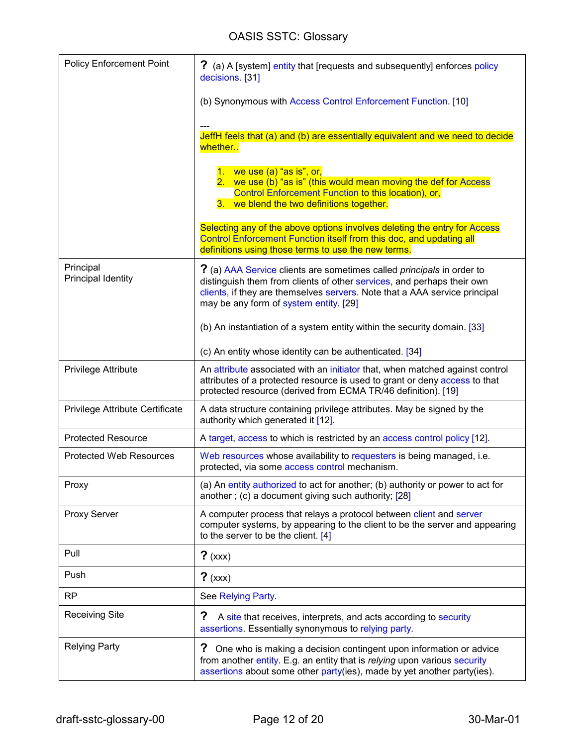<span id="page-11-0"></span>

| <b>Policy Enforcement Point</b>        | ? (a) A [system] entity that [requests and subsequently] enforces policy<br>decisions. [31]                                                                                                                                                                                    |
|----------------------------------------|--------------------------------------------------------------------------------------------------------------------------------------------------------------------------------------------------------------------------------------------------------------------------------|
|                                        | (b) Synonymous with Access Control Enforcement Function. [10]                                                                                                                                                                                                                  |
|                                        | JeffH feels that (a) and (b) are essentially equivalent and we need to decide<br>whether                                                                                                                                                                                       |
|                                        | 1. we use $(a)$ "as is", or,<br>2. we use (b) "as is" (this would mean moving the def for Access<br>Control Enforcement Function to this location), or,<br>3. we blend the two definitions together.                                                                           |
|                                        | Selecting any of the above options involves deleting the entry for Access<br>Control Enforcement Function itself from this doc, and updating all<br>definitions using those terms to use the new terms.                                                                        |
| Principal<br><b>Principal Identity</b> | ? (a) AAA Service clients are sometimes called <i>principals</i> in order to<br>distinguish them from clients of other services, and perhaps their own<br>clients, if they are themselves servers. Note that a AAA service principal<br>may be any form of system entity. [29] |
|                                        | (b) An instantiation of a system entity within the security domain. [33]                                                                                                                                                                                                       |
|                                        | (c) An entity whose identity can be authenticated. [34]                                                                                                                                                                                                                        |
| Privilege Attribute                    | An attribute associated with an initiator that, when matched against control<br>attributes of a protected resource is used to grant or deny access to that<br>protected resource (derived from ECMA TR/46 definition). [19]                                                    |
| Privilege Attribute Certificate        | A data structure containing privilege attributes. May be signed by the<br>authority which generated it [12].                                                                                                                                                                   |
| <b>Protected Resource</b>              | A target, access to which is restricted by an access control policy [12].                                                                                                                                                                                                      |
| <b>Protected Web Resources</b>         | Web resources whose availability to requesters is being managed, i.e.<br>protected, via some access control mechanism.                                                                                                                                                         |
| Proxy                                  | (a) An entity authorized to act for another; (b) authority or power to act for<br>another; (c) a document giving such authority; [28]                                                                                                                                          |
| Proxy Server                           | A computer process that relays a protocol between client and server<br>computer systems, by appearing to the client to be the server and appearing<br>to the server to be the client. [4]                                                                                      |
| Pull                                   | $?$ (xxx)                                                                                                                                                                                                                                                                      |
| Push                                   | $?$ (xxx)                                                                                                                                                                                                                                                                      |
| <b>RP</b>                              | See Relying Party.                                                                                                                                                                                                                                                             |
| <b>Receiving Site</b>                  | ?<br>A site that receives, interprets, and acts according to security<br>assertions. Essentially synonymous to relying party.                                                                                                                                                  |
| <b>Relying Party</b>                   | ?<br>One who is making a decision contingent upon information or advice<br>from another entity. E.g. an entity that is relying upon various security<br>assertions about some other party(ies), made by yet another party(ies).                                                |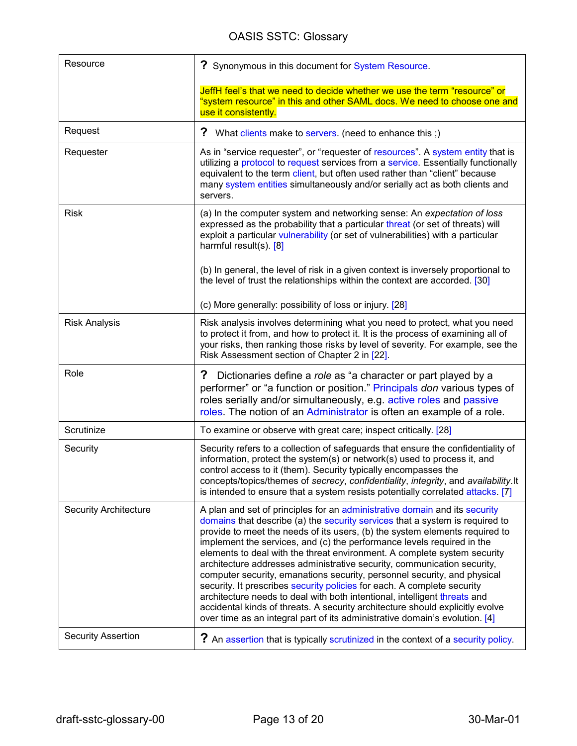<span id="page-12-0"></span>

| Resource                     | ? Synonymous in this document for System Resource.                                                                                                                                                                                                                                                                                                                                                                                                                                                                                                                                                                                                                                                                                                                                                                                                                             |
|------------------------------|--------------------------------------------------------------------------------------------------------------------------------------------------------------------------------------------------------------------------------------------------------------------------------------------------------------------------------------------------------------------------------------------------------------------------------------------------------------------------------------------------------------------------------------------------------------------------------------------------------------------------------------------------------------------------------------------------------------------------------------------------------------------------------------------------------------------------------------------------------------------------------|
|                              | JeffH feel's that we need to decide whether we use the term "resource" or<br>"system resource" in this and other SAML docs. We need to choose one and<br>use it consistently.                                                                                                                                                                                                                                                                                                                                                                                                                                                                                                                                                                                                                                                                                                  |
| Request                      | ?<br>What clients make to servers. (need to enhance this ;)                                                                                                                                                                                                                                                                                                                                                                                                                                                                                                                                                                                                                                                                                                                                                                                                                    |
| Requester                    | As in "service requester", or "requester of resources". A system entity that is<br>utilizing a protocol to request services from a service. Essentially functionally<br>equivalent to the term client, but often used rather than "client" because<br>many system entities simultaneously and/or serially act as both clients and<br>servers.                                                                                                                                                                                                                                                                                                                                                                                                                                                                                                                                  |
| <b>Risk</b>                  | (a) In the computer system and networking sense: An expectation of loss<br>expressed as the probability that a particular threat (or set of threats) will<br>exploit a particular vulnerability (or set of vulnerabilities) with a particular<br>harmful result(s). $[8]$                                                                                                                                                                                                                                                                                                                                                                                                                                                                                                                                                                                                      |
|                              | (b) In general, the level of risk in a given context is inversely proportional to<br>the level of trust the relationships within the context are accorded. [30]<br>(c) More generally: possibility of loss or injury. [28]                                                                                                                                                                                                                                                                                                                                                                                                                                                                                                                                                                                                                                                     |
| <b>Risk Analysis</b>         | Risk analysis involves determining what you need to protect, what you need<br>to protect it from, and how to protect it. It is the process of examining all of<br>your risks, then ranking those risks by level of severity. For example, see the<br>Risk Assessment section of Chapter 2 in [22].                                                                                                                                                                                                                                                                                                                                                                                                                                                                                                                                                                             |
| Role                         | ?<br>Dictionaries define a role as "a character or part played by a<br>performer" or "a function or position." Principals don various types of<br>roles serially and/or simultaneously, e.g. active roles and passive<br>roles. The notion of an Administrator is often an example of a role.                                                                                                                                                                                                                                                                                                                                                                                                                                                                                                                                                                                  |
| Scrutinize                   | To examine or observe with great care; inspect critically. [28]                                                                                                                                                                                                                                                                                                                                                                                                                                                                                                                                                                                                                                                                                                                                                                                                                |
| Security                     | Security refers to a collection of safeguards that ensure the confidentiality of<br>information, protect the system(s) or network(s) used to process it, and<br>control access to it (them). Security typically encompasses the<br>concepts/topics/themes of secrecy, confidentiality, integrity, and availability.It<br>is intended to ensure that a system resists potentially correlated attacks. [7]                                                                                                                                                                                                                                                                                                                                                                                                                                                                       |
| <b>Security Architecture</b> | A plan and set of principles for an administrative domain and its security<br>domains that describe (a) the security services that a system is required to<br>provide to meet the needs of its users, (b) the system elements required to<br>implement the services, and (c) the performance levels required in the<br>elements to deal with the threat environment. A complete system security<br>architecture addresses administrative security, communication security,<br>computer security, emanations security, personnel security, and physical<br>security. It prescribes security policies for each. A complete security<br>architecture needs to deal with both intentional, intelligent threats and<br>accidental kinds of threats. A security architecture should explicitly evolve<br>over time as an integral part of its administrative domain's evolution. [4] |
| <b>Security Assertion</b>    | ? An assertion that is typically scrutinized in the context of a security policy.                                                                                                                                                                                                                                                                                                                                                                                                                                                                                                                                                                                                                                                                                                                                                                                              |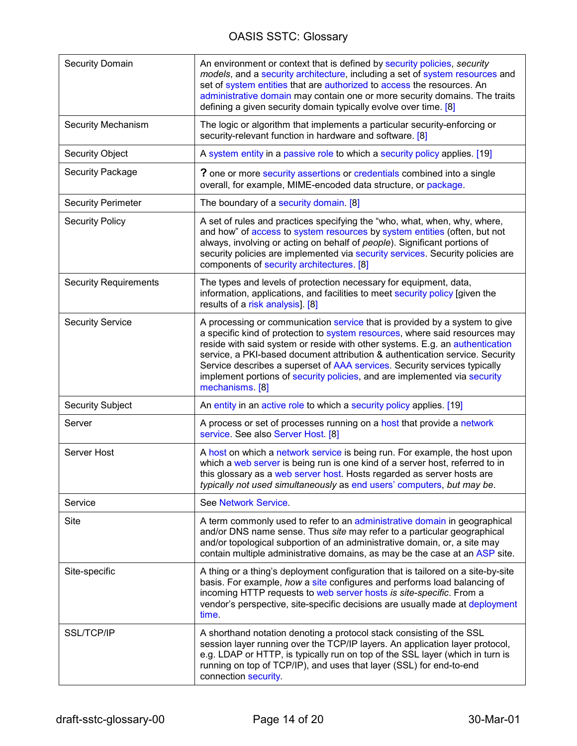<span id="page-13-0"></span>

| <b>Security Domain</b>       | An environment or context that is defined by security policies, security<br>models, and a security architecture, including a set of system resources and<br>set of system entities that are authorized to access the resources. An<br>administrative domain may contain one or more security domains. The traits<br>defining a given security domain typically evolve over time. [8]                                                                                                                   |
|------------------------------|--------------------------------------------------------------------------------------------------------------------------------------------------------------------------------------------------------------------------------------------------------------------------------------------------------------------------------------------------------------------------------------------------------------------------------------------------------------------------------------------------------|
| <b>Security Mechanism</b>    | The logic or algorithm that implements a particular security-enforcing or<br>security-relevant function in hardware and software. [8]                                                                                                                                                                                                                                                                                                                                                                  |
| <b>Security Object</b>       | A system entity in a passive role to which a security policy applies. [19]                                                                                                                                                                                                                                                                                                                                                                                                                             |
| Security Package             | <b>?</b> one or more security assertions or credentials combined into a single<br>overall, for example, MIME-encoded data structure, or package.                                                                                                                                                                                                                                                                                                                                                       |
| <b>Security Perimeter</b>    | The boundary of a security domain. [8]                                                                                                                                                                                                                                                                                                                                                                                                                                                                 |
| <b>Security Policy</b>       | A set of rules and practices specifying the "who, what, when, why, where,<br>and how" of access to system resources by system entities (often, but not<br>always, involving or acting on behalf of people). Significant portions of<br>security policies are implemented via security services. Security policies are<br>components of security architectures. [8]                                                                                                                                     |
| <b>Security Requirements</b> | The types and levels of protection necessary for equipment, data,<br>information, applications, and facilities to meet security policy [given the<br>results of a risk analysis]. [8]                                                                                                                                                                                                                                                                                                                  |
| <b>Security Service</b>      | A processing or communication service that is provided by a system to give<br>a specific kind of protection to system resources, where said resources may<br>reside with said system or reside with other systems. E.g. an authentication<br>service, a PKI-based document attribution & authentication service. Security<br>Service describes a superset of AAA services. Security services typically<br>implement portions of security policies, and are implemented via security<br>mechanisms. [8] |
| <b>Security Subject</b>      | An entity in an active role to which a security policy applies. [19]                                                                                                                                                                                                                                                                                                                                                                                                                                   |
| Server                       | A process or set of processes running on a host that provide a network<br>service. See also Server Host. [8]                                                                                                                                                                                                                                                                                                                                                                                           |
| Server Host                  | A host on which a network service is being run. For example, the host upon<br>which a web server is being run is one kind of a server host, referred to in<br>this glossary as a web server host. Hosts regarded as server hosts are<br>typically not used simultaneously as end users' computers, but may be.                                                                                                                                                                                         |
| Service                      | See Network Service.                                                                                                                                                                                                                                                                                                                                                                                                                                                                                   |
| Site                         | A term commonly used to refer to an administrative domain in geographical<br>and/or DNS name sense. Thus site may refer to a particular geographical<br>and/or topological subportion of an administrative domain, or, a site may<br>contain multiple administrative domains, as may be the case at an ASP site.                                                                                                                                                                                       |
| Site-specific                | A thing or a thing's deployment configuration that is tailored on a site-by-site<br>basis. For example, how a site configures and performs load balancing of<br>incoming HTTP requests to web server hosts is site-specific. From a<br>vendor's perspective, site-specific decisions are usually made at deployment<br>time.                                                                                                                                                                           |
| <b>SSL/TCP/IP</b>            | A shorthand notation denoting a protocol stack consisting of the SSL<br>session layer running over the TCP/IP layers. An application layer protocol,<br>e.g. LDAP or HTTP, is typically run on top of the SSL layer (which in turn is<br>running on top of TCP/IP), and uses that layer (SSL) for end-to-end<br>connection security.                                                                                                                                                                   |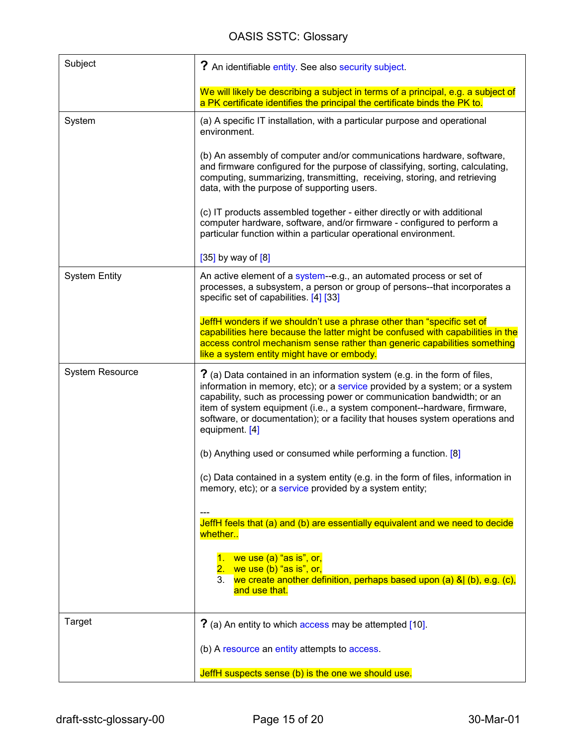<span id="page-14-0"></span>

| Subject                | ? An identifiable entity. See also security subject.                                                                                                                                                                                                                                                                                                                                                            |
|------------------------|-----------------------------------------------------------------------------------------------------------------------------------------------------------------------------------------------------------------------------------------------------------------------------------------------------------------------------------------------------------------------------------------------------------------|
|                        | We will likely be describing a subject in terms of a principal, e.g. a subject of<br>a PK certificate identifies the principal the certificate binds the PK to.                                                                                                                                                                                                                                                 |
| System                 | (a) A specific IT installation, with a particular purpose and operational<br>environment.                                                                                                                                                                                                                                                                                                                       |
|                        | (b) An assembly of computer and/or communications hardware, software,<br>and firmware configured for the purpose of classifying, sorting, calculating,<br>computing, summarizing, transmitting, receiving, storing, and retrieving<br>data, with the purpose of supporting users.                                                                                                                               |
|                        | (c) IT products assembled together - either directly or with additional<br>computer hardware, software, and/or firmware - configured to perform a<br>particular function within a particular operational environment.                                                                                                                                                                                           |
|                        | $[35]$ by way of $[8]$                                                                                                                                                                                                                                                                                                                                                                                          |
| <b>System Entity</b>   | An active element of a system-e.g., an automated process or set of<br>processes, a subsystem, a person or group of persons--that incorporates a<br>specific set of capabilities. [4] [33]                                                                                                                                                                                                                       |
|                        | JeffH wonders if we shouldn't use a phrase other than "specific set of<br>capabilities here because the latter might be confused with capabilities in the<br>access control mechanism sense rather than generic capabilities something<br>like a system entity might have or embody.                                                                                                                            |
| <b>System Resource</b> | ? (a) Data contained in an information system (e.g. in the form of files,<br>information in memory, etc); or a service provided by a system; or a system<br>capability, such as processing power or communication bandwidth; or an<br>item of system equipment (i.e., a system component--hardware, firmware,<br>software, or documentation); or a facility that houses system operations and<br>equipment. [4] |
|                        | (b) Anything used or consumed while performing a function. [8]                                                                                                                                                                                                                                                                                                                                                  |
|                        | (c) Data contained in a system entity (e.g. in the form of files, information in<br>memory, etc); or a service provided by a system entity;                                                                                                                                                                                                                                                                     |
|                        | JeffH feels that (a) and (b) are essentially equivalent and we need to decide<br>whether                                                                                                                                                                                                                                                                                                                        |
|                        | 1. we use $(a)$ "as is", or,<br>2. we use $(b)$ "as is", or,<br>3. we create another definition, perhaps based upon (a) & (b), e.g. (c),                                                                                                                                                                                                                                                                        |
|                        | and use that.                                                                                                                                                                                                                                                                                                                                                                                                   |
| Target                 | ? (a) An entity to which access may be attempted [10].                                                                                                                                                                                                                                                                                                                                                          |
|                        | (b) A resource an entity attempts to access.                                                                                                                                                                                                                                                                                                                                                                    |
|                        | JeffH suspects sense (b) is the one we should use.                                                                                                                                                                                                                                                                                                                                                              |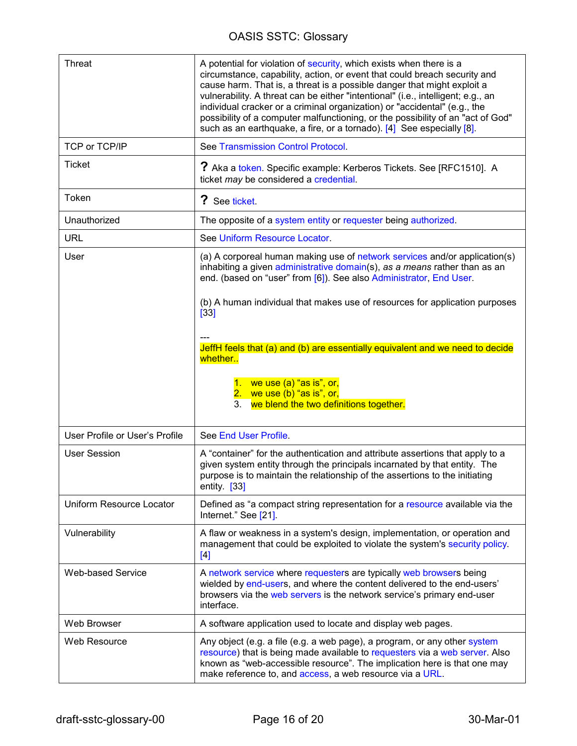<span id="page-15-0"></span>

| <b>Threat</b>                  | A potential for violation of security, which exists when there is a<br>circumstance, capability, action, or event that could breach security and<br>cause harm. That is, a threat is a possible danger that might exploit a<br>vulnerability. A threat can be either "intentional" (i.e., intelligent; e.g., an<br>individual cracker or a criminal organization) or "accidental" (e.g., the<br>possibility of a computer malfunctioning, or the possibility of an "act of God"<br>such as an earthquake, a fire, or a tornado). [4] See especially [8]. |
|--------------------------------|----------------------------------------------------------------------------------------------------------------------------------------------------------------------------------------------------------------------------------------------------------------------------------------------------------------------------------------------------------------------------------------------------------------------------------------------------------------------------------------------------------------------------------------------------------|
| TCP or TCP/IP                  | See Transmission Control Protocol.                                                                                                                                                                                                                                                                                                                                                                                                                                                                                                                       |
| <b>Ticket</b>                  | ? Aka a token. Specific example: Kerberos Tickets. See [RFC1510]. A<br>ticket may be considered a credential.                                                                                                                                                                                                                                                                                                                                                                                                                                            |
| Token                          | ? See ticket.                                                                                                                                                                                                                                                                                                                                                                                                                                                                                                                                            |
| Unauthorized                   | The opposite of a system entity or requester being authorized.                                                                                                                                                                                                                                                                                                                                                                                                                                                                                           |
| <b>URL</b>                     | See Uniform Resource Locator.                                                                                                                                                                                                                                                                                                                                                                                                                                                                                                                            |
| User                           | (a) A corporeal human making use of network services and/or application(s)<br>inhabiting a given administrative domain(s), as a means rather than as an<br>end. (based on "user" from [6]). See also Administrator, End User.                                                                                                                                                                                                                                                                                                                            |
|                                | (b) A human individual that makes use of resources for application purposes<br>[33]                                                                                                                                                                                                                                                                                                                                                                                                                                                                      |
|                                | JeffH feels that (a) and (b) are essentially equivalent and we need to decide<br>whether                                                                                                                                                                                                                                                                                                                                                                                                                                                                 |
|                                | 1. we use $(a)$ "as is", or,<br>2. we use $(b)$ "as is", or,<br>we blend the two definitions together.<br>3.                                                                                                                                                                                                                                                                                                                                                                                                                                             |
| User Profile or User's Profile | See End User Profile.                                                                                                                                                                                                                                                                                                                                                                                                                                                                                                                                    |
| <b>User Session</b>            | A "container" for the authentication and attribute assertions that apply to a<br>given system entity through the principals incarnated by that entity. The<br>purpose is to maintain the relationship of the assertions to the initiating<br>entity. $[33]$                                                                                                                                                                                                                                                                                              |
| Uniform Resource Locator       | Defined as "a compact string representation for a resource available via the<br>Internet." See [21].                                                                                                                                                                                                                                                                                                                                                                                                                                                     |
| Vulnerability                  | A flaw or weakness in a system's design, implementation, or operation and<br>management that could be exploited to violate the system's security policy.<br>[4]                                                                                                                                                                                                                                                                                                                                                                                          |
| <b>Web-based Service</b>       | A network service where requesters are typically web browsers being<br>wielded by end-users, and where the content delivered to the end-users'<br>browsers via the web servers is the network service's primary end-user<br>interface.                                                                                                                                                                                                                                                                                                                   |
| Web Browser                    | A software application used to locate and display web pages.                                                                                                                                                                                                                                                                                                                                                                                                                                                                                             |
| Web Resource                   | Any object (e.g. a file (e.g. a web page), a program, or any other system<br>resource) that is being made available to requesters via a web server. Also<br>known as "web-accessible resource". The implication here is that one may<br>make reference to, and access, a web resource via a URL.                                                                                                                                                                                                                                                         |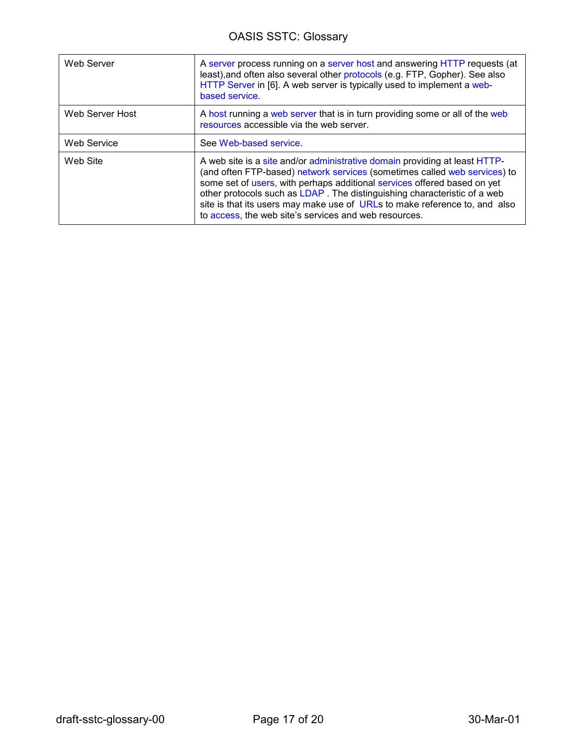<span id="page-16-0"></span>

| Web Server         | A server process running on a server host and answering HTTP requests (at<br>least), and often also several other protocols (e.g. FTP, Gopher). See also<br>HTTP Server in [6]. A web server is typically used to implement a web-<br>based service.                                                                                                                                                                                                   |
|--------------------|--------------------------------------------------------------------------------------------------------------------------------------------------------------------------------------------------------------------------------------------------------------------------------------------------------------------------------------------------------------------------------------------------------------------------------------------------------|
| Web Server Host    | A host running a web server that is in turn providing some or all of the web<br>resources accessible via the web server.                                                                                                                                                                                                                                                                                                                               |
| <b>Web Service</b> | See Web-based service.                                                                                                                                                                                                                                                                                                                                                                                                                                 |
| Web Site           | A web site is a site and/or administrative domain providing at least HTTP-<br>(and often FTP-based) network services (sometimes called web services) to<br>some set of users, with perhaps additional services offered based on yet<br>other protocols such as LDAP. The distinguishing characteristic of a web<br>site is that its users may make use of URLs to make reference to, and also<br>to access, the web site's services and web resources. |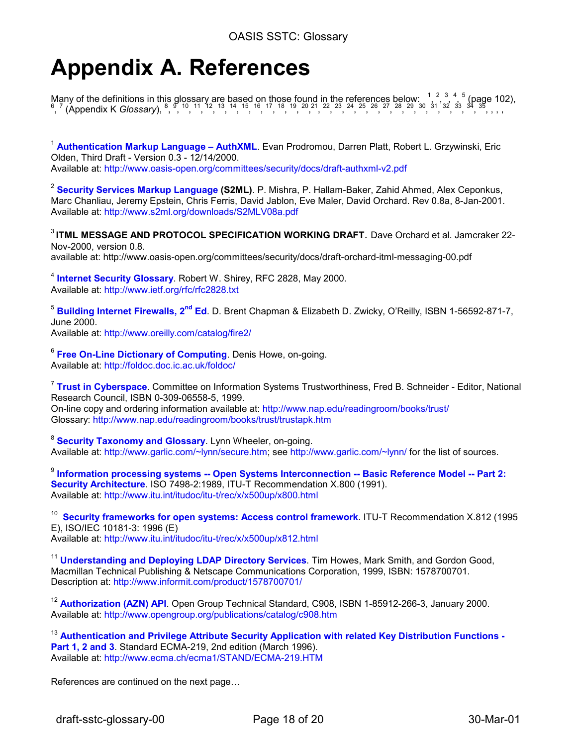### <span id="page-17-0"></span>**Appendix A. References**

Many of the definitions in this glossary are based on those found in the references below:  $\frac{1}{2}$ ,  $\frac{2}{3}$ ,  $\frac{3}{4}$ ,  $\frac{4}{5}$  [\(p](#page-19-0)age 102),  $\frac{6}{7}$  $\frac{6}{7}$  $\frac{6}{7}$  (Appendix K *Glossary*),  $\frac{8}{7}$ ,  $\frac{9}{1}$ ,  $\frac{10}{1}$ ,  $\frac{12$ 

<sup>1</sup> **Authentication Markup Language – AuthXML**. Evan Prodromou, Darren Platt, Robert L. Grzywinski, Eric Olden, Third Draft - Version 0.3 - 12/14/2000. Available at: http://www.oasis-open.org/committees/security/docs/draft-authxml-v2.pdf

<sup>2</sup> **Security Services Markup Language (S2ML)**. P. Mishra, P. Hallam-Baker, Zahid Ahmed, Alex Ceponkus, Marc Chanliau, Jeremy Epstein, Chris Ferris, David Jablon, Eve Maler, David Orchard. Rev 0.8a, 8-Jan-2001. Available at: http://www.s2ml.org/downloads/S2MLV08a.pdf

<sup>3</sup>**ITML MESSAGE AND PROTOCOL SPECIFICATION WORKING DRAFT**. Dave Orchard et al. Jamcraker 22- Nov-2000, version 0.8. available at: http://www.oasis-open.org/committees/security/docs/draft-orchard-itml-messaging-00.pdf

<sup>4</sup> **Internet Security Glossary**. Robert W. Shirey, RFC 2828, May 2000. Available at: http://www.ietf.org/rfc/rfc2828.txt

<sup>5</sup> **Building Internet Firewalls, 2nd Ed**. D. Brent Chapman & Elizabeth D. Zwicky, O'Reilly, ISBN 1-56592-871-7, June 2000.

Available at: http://www.oreilly.com/catalog/fire2/

<sup>6</sup> **Free On-Line Dictionary of Computing**. Denis Howe, on-going. Available at: http://foldoc.doc.ic.ac.uk/foldoc/

<sup>7</sup> **Trust in Cyberspace**. Committee on Information Systems Trustworthiness, Fred B. Schneider - Editor, National Research Council, ISBN 0-309-06558-5, 1999. On-line copy and ordering information available at: http://www.nap.edu/readingroom/books/trust/ Glossary: http://www.nap.edu/readingroom/books/trust/trustapk.htm

<sup>8</sup> **Security Taxonomy and Glossary**. Lynn Wheeler, on-going. Available at: http://www.garlic.com/~lynn/secure.htm; see http://www.garlic.com/~lynn/ for the list of sources.

<sup>9</sup> Information processing systems -- Open Systems Interconnection -- Basic Reference Model -- Part 2: **Security Architecture**. ISO 7498-2:1989, ITU-T Recommendation X.800 (1991). Available at: http://www.itu.int/itudoc/itu-t/rec/x/x500up/x800.html

<sup>10</sup> **Security frameworks for open systems: Access control framework**. ITU-T Recommendation X.812 (1995 E), ISO/IEC 10181-3: 1996 (E) Available at: http://www.itu.int/itudoc/itu-t/rec/x/x500up/x812.html

<sup>11</sup> Understanding and Deploying LDAP Directory Services. Tim Howes, Mark Smith, and Gordon Good, Macmillan Technical Publishing & Netscape Communications Corporation, 1999, ISBN: 1578700701. Description at: http://www.informit.com/product/1578700701/

<sup>12</sup> Authorization (AZN) API. Open Group Technical Standard, C908, ISBN 1-85912-266-3, January 2000. Available at: http://www.opengroup.org/publications/catalog/c908.htm

<sup>13</sup> **Authentication and Privilege Attribute Security Application with related Key Distribution Functions -**  Part 1, 2 and 3. Standard ECMA-219, 2nd edition (March 1996). Available at: http://www.ecma.ch/ecma1/STAND/ECMA-219.HTM

References are continued on the next page…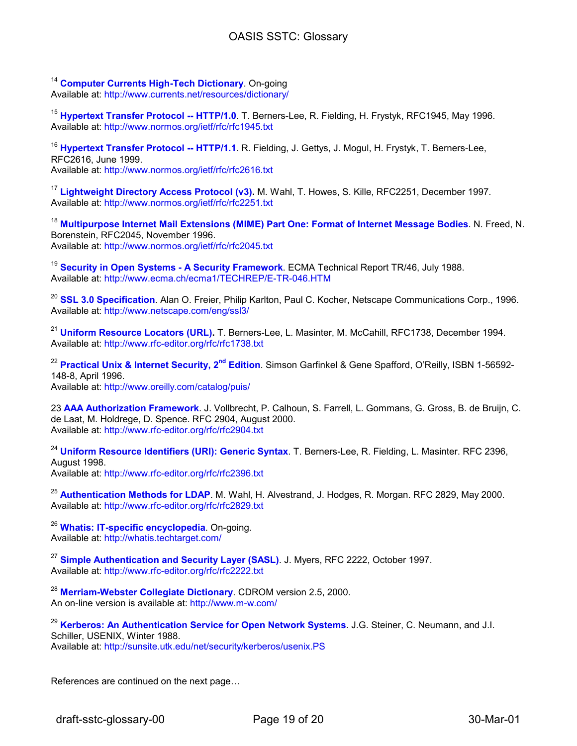<sup>14</sup> **Computer Currents High-Tech Dictionary**. On-going Available at: http://www.currents.net/resources/dictionary/

<sup>15</sup> **Hypertext Transfer Protocol -- HTTP/1.0**. T. Berners-Lee, R. Fielding, H. Frystyk, RFC1945, May 1996. Available at: http://www.normos.org/ietf/rfc/rfc1945.txt

<sup>16</sup> **Hypertext Transfer Protocol -- HTTP/1.1**. R. Fielding, J. Gettys, J. Mogul, H. Frystyk, T. Berners-Lee, RFC2616, June 1999. Available at: http://www.normos.org/ietf/rfc/rfc2616.txt

<sup>17</sup> Lightweight Directory Access Protocol (v3). M. Wahl, T. Howes, S. Kille, RFC2251, December 1997. Available at: http://www.normos.org/ietf/rfc/rfc2251.txt

<sup>18</sup> **Multipurpose Internet Mail Extensions (MIME) Part One: Format of Internet Message Bodies**. N. Freed, N. Borenstein, RFC2045, November 1996. Available at: http://www.normos.org/ietf/rfc/rfc2045.txt

<sup>19</sup> **Security in Open Systems - A Security Framework**. ECMA Technical Report TR/46, July 1988. Available at: http://www.ecma.ch/ecma1/TECHREP/E-TR-046.HTM

<sup>20</sup> **SSL 3.0 Specification**. Alan O. Freier, Philip Karlton, Paul C. Kocher, Netscape Communications Corp., 1996. Available at: http://www.netscape.com/eng/ssl3/

<sup>21</sup> **Uniform Resource Locators (URL).** T. Berners-Lee, L. Masinter, M. McCahill, RFC1738, December 1994. Available at: http://www.rfc-editor.org/rfc/rfc1738.txt

<sup>22</sup> Practical Unix & Internet Security, 2<sup>nd</sup> Edition. Simson Garfinkel & Gene Spafford, O'Reilly, ISBN 1-56592-148-8, April 1996. Available at: http://www.oreilly.com/catalog/puis/

23 **AAA Authorization Framework**. J. Vollbrecht, P. Calhoun, S. Farrell, L. Gommans, G. Gross, B. de Bruijn, C. de Laat, M. Holdrege, D. Spence. RFC 2904, August 2000. Available at: http://www.rfc-editor.org/rfc/rfc2904.txt

<sup>24</sup> **Uniform Resource Identifiers (URI): Generic Syntax**. T. Berners-Lee, R. Fielding, L. Masinter. RFC 2396, August 1998.

Available at: http://www.rfc-editor.org/rfc/rfc2396.txt

<sup>25</sup> **Authentication Methods for LDAP**. M. Wahl, H. Alvestrand, J. Hodges, R. Morgan. RFC 2829, May 2000. Available at: http://www.rfc-editor.org/rfc/rfc2829.txt

<sup>26</sup> **Whatis: IT-specific encyclopedia**. On-going. Available at: http://whatis.techtarget.com/

<sup>27</sup> **Simple Authentication and Security Layer (SASL)**. J. Myers, RFC 2222, October 1997. Available at: http://www.rfc-editor.org/rfc/rfc2222.txt

<sup>28</sup> **Merriam-Webster Collegiate Dictionary**. CDROM version 2.5, 2000. An on-line version is available at: http://www.m-w.com/

<sup>29</sup> **Kerberos: An Authentication Service for Open Network Systems**. J.G. Steiner, C. Neumann, and J.I. Schiller, USENIX, Winter 1988. Available at: http://sunsite.utk.edu/net/security/kerberos/usenix.PS

References are continued on the next page…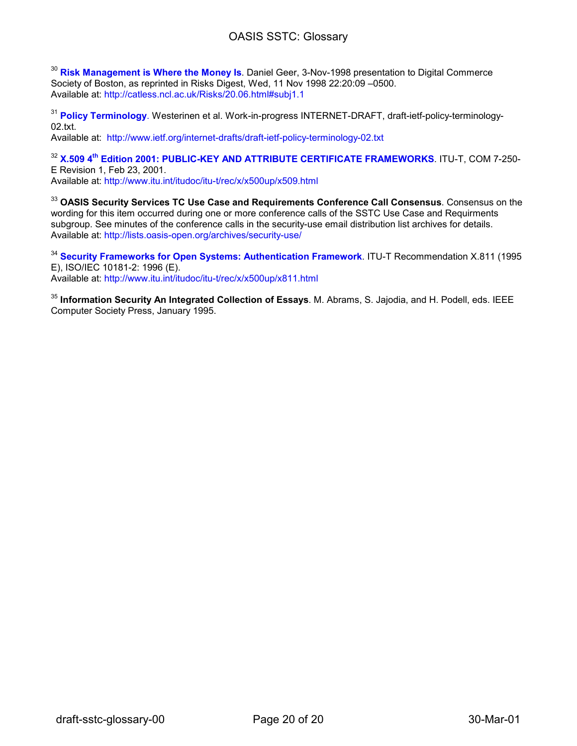<span id="page-19-0"></span><sup>30</sup> **Risk Management is Where the Money Is**. Daniel Geer, 3-Nov-1998 presentation to Digital Commerce Society of Boston, as reprinted in Risks Digest, Wed, 11 Nov 1998 22:20:09 –0500. Available at: http://catless.ncl.ac.uk/Risks/20.06.html#subj1.1

<sup>31</sup> **Policy Terminology**. Westerinen et al. Work-in-progress INTERNET-DRAFT, draft-ietf-policy-terminology-02.txt.

Available at: http://www.ietf.org/internet-drafts/draft-ietf-policy-terminology-02.txt

<sup>32</sup> X.509 4<sup>th</sup> Edition 2001: PUBLIC-KEY AND ATTRIBUTE CERTIFICATE FRAMEWORKS. ITU-T, COM 7-250-E Revision 1, Feb 23, 2001. Available at: http://www.itu.int/itudoc/itu-t/rec/x/x500up/x509.html

<sup>33</sup> **OASIS Security Services TC Use Case and Requirements Conference Call Consensus**. Consensus on the wording for this item occurred during one or more conference calls of the SSTC Use Case and Requirments subgroup. See minutes of the conference calls in the security-use email distribution list archives for details. Available at: http://lists.oasis-open.org/archives/security-use/

<sup>34</sup> **Security Frameworks for Open Systems: Authentication Framework**. ITU-T Recommendation X.811 (1995 E), ISO/IEC 10181-2: 1996 (E).

Available at: http://www.itu.int/itudoc/itu-t/rec/x/x500up/x811.html

<sup>35</sup> **Information Security An Integrated Collection of Essays**. M. Abrams, S. Jajodia, and H. Podell, eds. IEEE Computer Society Press, January 1995.